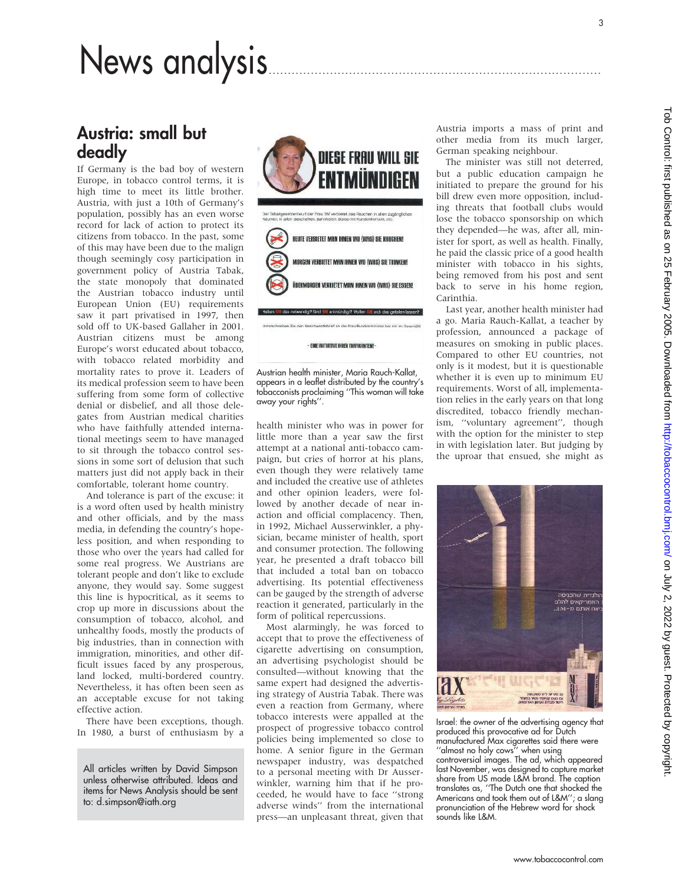# News analysis.......................................................................................

# Austria: small but deadly

If Germany is the bad boy of western Europe, in tobacco control terms, it is high time to meet its little brother. Austria, with just a 10th of Germany's population, possibly has an even worse record for lack of action to protect its citizens from tobacco. In the past, some of this may have been due to the malign though seemingly cosy participation in government policy of Austria Tabak, the state monopoly that dominated the Austrian tobacco industry until European Union (EU) requirements saw it part privatised in 1997, then sold off to UK-based Gallaher in 2001. Austrian citizens must be among Europe's worst educated about tobacco, with tobacco related morbidity and mortality rates to prove it. Leaders of its medical profession seem to have been suffering from some form of collective denial or disbelief, and all those delegates from Austrian medical charities who have faithfully attended international meetings seem to have managed to sit through the tobacco control sessions in some sort of delusion that such matters just did not apply back in their comfortable, tolerant home country.

And tolerance is part of the excuse: it is a word often used by health ministry and other officials, and by the mass media, in defending the country's hopeless position, and when responding to those who over the years had called for some real progress. We Austrians are tolerant people and don't like to exclude anyone, they would say. Some suggest this line is hypocritical, as it seems to crop up more in discussions about the consumption of tobacco, alcohol, and unhealthy foods, mostly the products of big industries, than in connection with immigration, minorities, and other difficult issues faced by any prosperous, land locked, multi-bordered country. Nevertheless, it has often been seen as an acceptable excuse for not taking effective action.

There have been exceptions, though. In 1980, a burst of enthusiasm by a

All articles written by David Simpson unless otherwise attributed. Ideas and items for News Analysis should be sent to: d.simpson@iath.org



Austrian health minister, Maria Rauch-Kallat, appears in a leaflet distributed by the country's tobacconists proclaiming ''This woman will take away your rights''.

health minister who was in power for little more than a year saw the first attempt at a national anti-tobacco campaign, but cries of horror at his plans, even though they were relatively tame and included the creative use of athletes and other opinion leaders, were followed by another decade of near inaction and official complacency. Then, in 1992, Michael Ausserwinkler, a physician, became minister of health, sport and consumer protection. The following year, he presented a draft tobacco bill that included a total ban on tobacco advertising. Its potential effectiveness can be gauged by the strength of adverse reaction it generated, particularly in the form of political repercussions.

Most alarmingly, he was forced to accept that to prove the effectiveness of cigarette advertising on consumption, an advertising psychologist should be consulted—without knowing that the same expert had designed the advertising strategy of Austria Tabak. There was even a reaction from Germany, where tobacco interests were appalled at the prospect of progressive tobacco control policies being implemented so close to home. A senior figure in the German newspaper industry, was despatched to a personal meeting with Dr Ausserwinkler, warning him that if he proceeded, he would have to face ''strong adverse winds'' from the international press—an unpleasant threat, given that

Austria imports a mass of print and other media from its much larger, German speaking neighbour.

The minister was still not deterred, but a public education campaign he initiated to prepare the ground for his bill drew even more opposition, including threats that football clubs would lose the tobacco sponsorship on which they depended—he was, after all, minister for sport, as well as health. Finally, he paid the classic price of a good health minister with tobacco in his sights, being removed from his post and sent back to serve in his home region, Carinthia.

Last year, another health minister had a go. Maria Rauch-Kallat, a teacher by profession, announced a package of measures on smoking in public places. Compared to other EU countries, not only is it modest, but it is questionable whether it is even up to minimum EU requirements. Worst of all, implementation relies in the early years on that long discredited, tobacco friendly mechanism, ''voluntary agreement'', though with the option for the minister to step in with legislation later. But judging by the uproar that ensued, she might as



Israel: the owner of the advertising agency that produced this provocative ad for Dutch manufactured Max cigarettes said there were

''almost no holy cows'' when using controversial images. The ad, which appeared last November, was designed to capture market share from US made L&M brand. The caption translates as, ''The Dutch one that shocked the Americans and took them out of L&M''; a slang pronunciation of the Hebrew word for shock sounds like L&M.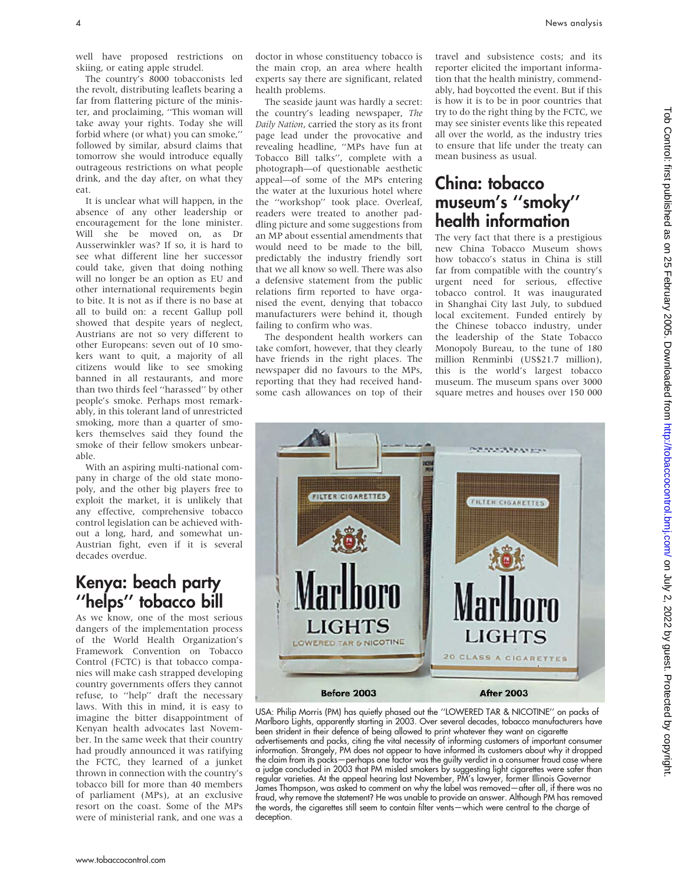well have proposed restrictions on skiing, or eating apple strudel.

The country's 8000 tobacconists led the revolt, distributing leaflets bearing a far from flattering picture of the minister, and proclaiming, ''This woman will take away your rights. Today she will forbid where (or what) you can smoke,'' followed by similar, absurd claims that tomorrow she would introduce equally outrageous restrictions on what people drink, and the day after, on what they eat.

It is unclear what will happen, in the absence of any other leadership or encouragement for the lone minister. Will she be moved on, as Dr Ausserwinkler was? If so, it is hard to see what different line her successor could take, given that doing nothing will no longer be an option as EU and other international requirements begin to bite. It is not as if there is no base at all to build on: a recent Gallup poll showed that despite years of neglect, Austrians are not so very different to other Europeans: seven out of 10 smokers want to quit, a majority of all citizens would like to see smoking banned in all restaurants, and more than two thirds feel ''harassed'' by other people's smoke. Perhaps most remarkably, in this tolerant land of unrestricted smoking, more than a quarter of smokers themselves said they found the smoke of their fellow smokers unbearable.

With an aspiring multi-national company in charge of the old state monopoly, and the other big players free to exploit the market, it is unlikely that any effective, comprehensive tobacco control legislation can be achieved without a long, hard, and somewhat un-Austrian fight, even if it is several decades overdue.

# Kenya: beach party ''helps'' tobacco bill

As we know, one of the most serious dangers of the implementation process of the World Health Organization's Framework Convention on Tobacco Control (FCTC) is that tobacco companies will make cash strapped developing country governments offers they cannot refuse, to ''help'' draft the necessary laws. With this in mind, it is easy to imagine the bitter disappointment of Kenyan health advocates last November. In the same week that their country had proudly announced it was ratifying the FCTC, they learned of a junket thrown in connection with the country's tobacco bill for more than 40 members of parliament (MPs), at an exclusive resort on the coast. Some of the MPs were of ministerial rank, and one was a

doctor in whose constituency tobacco is the main crop, an area where health experts say there are significant, related health problems.

The seaside jaunt was hardly a secret: the country's leading newspaper, The Daily Nation, carried the story as its front page lead under the provocative and revealing headline, ''MPs have fun at Tobacco Bill talks'', complete with a photograph—of questionable aesthetic appeal—of some of the MPs entering the water at the luxurious hotel where the ''workshop'' took place. Overleaf, readers were treated to another paddling picture and some suggestions from an MP about essential amendments that would need to be made to the bill, predictably the industry friendly sort that we all know so well. There was also a defensive statement from the public relations firm reported to have organised the event, denying that tobacco manufacturers were behind it, though failing to confirm who was.

The despondent health workers can take comfort, however, that they clearly have friends in the right places. The newspaper did no favours to the MPs, reporting that they had received handsome cash allowances on top of their

travel and subsistence costs; and its reporter elicited the important information that the health ministry, commendably, had boycotted the event. But if this is how it is to be in poor countries that try to do the right thing by the FCTC, we may see sinister events like this repeated all over the world, as the industry tries to ensure that life under the treaty can mean business as usual.

#### China: tobacco museum's ''smoky'' health information

The very fact that there is a prestigious new China Tobacco Museum shows how tobacco's status in China is still far from compatible with the country's urgent need for serious, effective tobacco control. It was inaugurated in Shanghai City last July, to subdued local excitement. Funded entirely by the Chinese tobacco industry, under the leadership of the State Tobacco Monopoly Bureau, to the tune of 180 million Renminbi (US\$21.7 million), this is the world's largest tobacco museum. The museum spans over 3000 square metres and houses over 150 000



USA: Philip Morris (PM) has quietly phased out the ''LOWERED TAR & NICOTINE'' on packs of Marlboro Lights, apparently starting in 2003. Over several decades, tobacco manufacturers have been strident in their defence of being allowed to print whatever they want on cigarette

advertisements and packs, citing the vital necessity of informing customers of important consumer information. Strangely, PM does not appear to have informed its customers about why it dropped the claim from its packs—perhaps one factor was the guilty verdict in a consumer fraud case where a judge concluded in 2003 that PM misled smokers by suggesting light cigarettes were safer than regular varieties. At the appeal hearing last November, PM's lawyer, former Illinois Governor James Thompson, was asked to comment on why the label was removed—after all, if there was no fraud, why remove the statement? He was unable to provide an answer. Although PM has removed the words, the cigarettes still seem to contain filter vents—which were central to the charge of deception.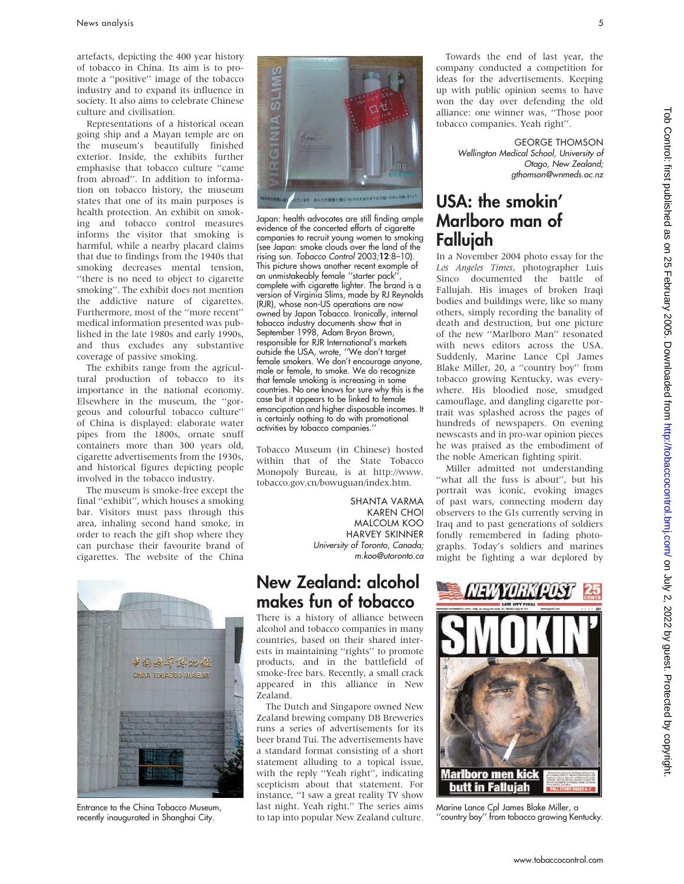artefacts, depicting the 400 year history of tobacco in China. Its aim is to promote a ''positive'' image of the tobacco industry and to expand its influence in society. It also aims to celebrate Chinese culture and civilisation.

Representations of a historical ocean going ship and a Mayan temple are on the museum's beautifully finished exterior. Inside, the exhibits further emphasise that tobacco culture ''came from abroad''. In addition to information on tobacco history, the museum states that one of its main purposes is health protection. An exhibit on smoking and tobacco control measures informs the visitor that smoking is harmful, while a nearby placard claims that due to findings from the 1940s that smoking decreases mental tension, ''there is no need to object to cigarette smoking''. The exhibit does not mention the addictive nature of cigarettes. Furthermore, most of the ''more recent'' medical information presented was published in the late 1980s and early 1990s, and thus excludes any substantive coverage of passive smoking.

The exhibits range from the agricultural production of tobacco to its importance in the national economy. Elsewhere in the museum, the ''gorgeous and colourful tobacco culture'' of China is displayed: elaborate water pipes from the 1800s, ornate snuff containers more than 300 years old, cigarette advertisements from the 1930s, and historical figures depicting people involved in the tobacco industry.

The museum is smoke-free except the final ''exhibit'', which houses a smoking bar. Visitors must pass through this area, inhaling second hand smoke, in order to reach the gift shop where they can purchase their favourite brand of cigarettes. The website of the China



Entrance to the China Tobacco Museum, recently inaugurated in Shanghai City.



Japan: health advocates are still finding ample evidence of the concerted efforts of cigarette companies to recruit young women to smoking (see Japan: smoke clouds over the land of the rising sun. Tobacco Control 2003;12:8–10). This picture shows another recent example of an unmistakeably female ''starter pack'', complete with cigarette lighter. The brand is a version of Virginia Slims, made by RJ Reynolds (RJR), whose non-US operations are now owned by Japan Tobacco. Ironically, internal tobacco industry documents show that in September 1998, Adam Bryon Brown, responsible for RJR International's markets outside the USA, wrote, ''We don't target female smokers. We don't encourage anyone, male or female, to smoke. We do recognize that female smoking is increasing in some countries. No one knows for sure why this is the case but it appears to be linked to female emancipation and higher disposable incomes. It is certainly nothing to do with promotional activities by tobacco companies.''

Tobacco Museum (in Chinese) hosted within that of the State Tobacco Monopoly Bureau, is at http://www. tobacco.gov.cn/bowuguan/index.htm.

> SHANTA VARMA KAREN CHOI MALCOLM KOO HARVEY SKINNER University of Toronto, Canada; m.koo@utoronto.ca

# New Zealand: alcohol makes fun of tobacco

There is a history of alliance between alcohol and tobacco companies in many countries, based on their shared interests in maintaining ''rights'' to promote products, and in the battlefield of smoke-free bars. Recently, a small crack appeared in this alliance in New Zealand.

The Dutch and Singapore owned New Zealand brewing company DB Breweries runs a series of advertisements for its beer brand Tui. The advertisements have a standard format consisting of a short statement alluding to a topical issue, with the reply ''Yeah right'', indicating scepticism about that statement. For instance, ''I saw a great reality TV show last night. Yeah right.'' The series aims to tap into popular New Zealand culture.

Towards the end of last year, the company conducted a competition for ideas for the advertisements. Keeping up with public opinion seems to have won the day over defending the old alliance: one winner was, ''Those poor tobacco companies. Yeah right''.

> GEORGE THOMSON Wellington Medical School, University of Otago, New Zealand; gthomson@wnmeds.ac.nz

# USA: the smokin' Marlboro man of Fallujah

In a November 2004 photo essay for the Los Angeles Times, photographer Luis Sinco documented the battle of Fallujah. His images of broken Iraqi bodies and buildings were, like so many others, simply recording the banality of death and destruction, but one picture of the new ''Marlboro Man'' resonated with news editors across the USA. Suddenly, Marine Lance Cpl James Blake Miller, 20, a ''country boy'' from tobacco growing Kentucky, was everywhere. His bloodied nose, smudged camouflage, and dangling cigarette portrait was splashed across the pages of hundreds of newspapers. On evening newscasts and in pro-war opinion pieces he was praised as the embodiment of the noble American fighting spirit.

Miller admitted not understanding ''what all the fuss is about'', but his portrait was iconic, evoking images of past wars, connecting modern day observers to the GIs currently serving in Iraq and to past generations of soldiers fondly remembered in fading photographs. Today's soldiers and marines might be fighting a war deplored by



Marine Lance Cpl James Blake Miller, a ''country boy'' from tobacco growing Kentucky.